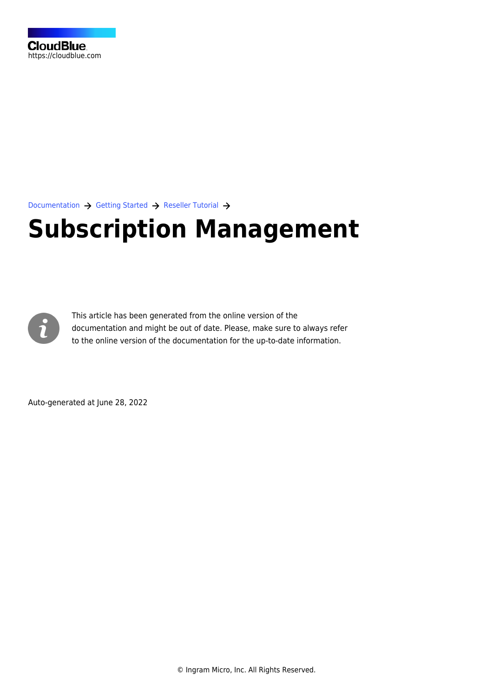

[Documentation](https://connect.cloudblue.com/documentation)  $\rightarrow$  [Getting Started](https://connect.cloudblue.com/community/getting-started/)  $\rightarrow$  [Reseller Tutorial](https://connect.cloudblue.com/community/getting-started/reseller-tutorial/)  $\rightarrow$ 

# **[Subscription Management](https://connect.cloudblue.com/community/getting-started/reseller-tutorial/subscriptions/)**



This article has been generated from the online version of the documentation and might be out of date. Please, make sure to always refer to the online version of the documentation for the up-to-date information.

Auto-generated at June 28, 2022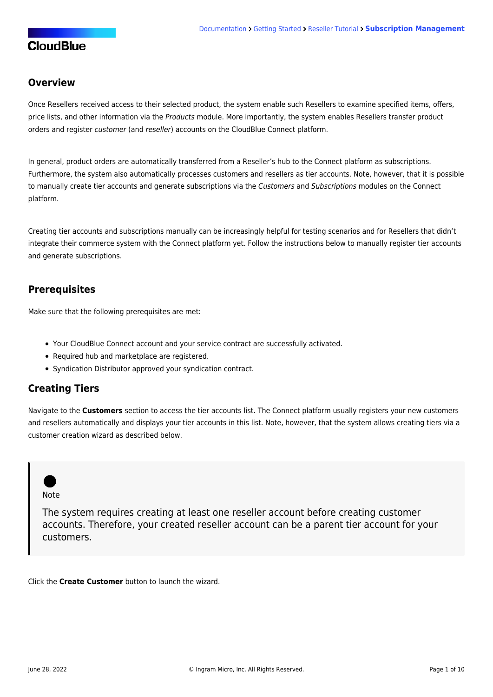#### **Overview**

Once Resellers received access to their selected product, the system enable such Resellers to examine specified items, offers, price lists, and other information via the Products module. More importantly, the system enables Resellers transfer product orders and register customer (and reseller) accounts on the CloudBlue Connect platform.

In general, product orders are automatically transferred from a Reseller's hub to the Connect platform as subscriptions. Furthermore, the system also automatically processes customers and resellers as tier accounts. Note, however, that it is possible to manually create tier accounts and generate subscriptions via the Customers and Subscriptions modules on the Connect platform.

Creating tier accounts and subscriptions manually can be increasingly helpful for testing scenarios and for Resellers that didn't integrate their commerce system with the Connect platform yet. Follow the instructions below to manually register tier accounts and generate subscriptions.

## **Prerequisites**

Make sure that the following prerequisites are met:

- Your CloudBlue Connect account and your service contract are [successfully activated](https://connect.cloudblue.com/community/getting-started/reseller-tutorial/#Portal_Activation).
- Required [hub](https://connect.cloudblue.com/community/getting-started/reseller-tutorial/hub-and-marketplace/#Hub_Registration) and [marketplace](https://connect.cloudblue.com/community/getting-started/reseller-tutorial/hub-and-marketplace/#Marketplace_Creation) are registered.
- Syndication Distributor approved your [syndication contract](https://connect.cloudblue.com/community/getting-started/reseller-tutorial/catalog-operations/#Enrolling_Contracts).

#### **Creating Tiers**

Navigate to the **Customers** section to access the tier accounts list. The Connect platform usually registers your new customers and resellers automatically and displays your tier accounts in this list. Note, however, that the system allows creating tiers via a customer creation wizard as described below.



The system requires creating at least one reseller account before creating customer accounts. Therefore, your created reseller account can be a parent tier account for your customers.

Click the **Create Customer** button to launch the wizard.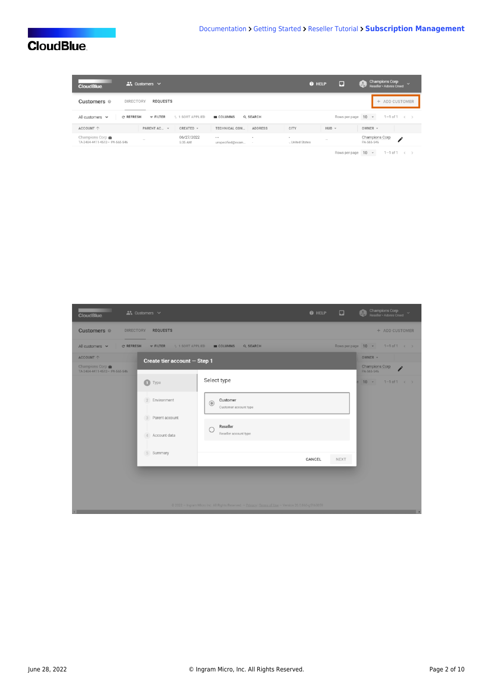| <b>CloudBlue</b>                                 | $\sim$ Customers $\sim$ |                               |                            |                | @ HELP                     | σ                  | <b>Champions Corp</b><br>Reseller - Adonis Creed |
|--------------------------------------------------|-------------------------|-------------------------------|----------------------------|----------------|----------------------------|--------------------|--------------------------------------------------|
| Customers ©<br><b>DIRECTORY</b>                  | <b>REQUESTS</b>         |                               |                            |                |                            |                    | + ADD CUSTOMER                                   |
| All customers $\sim$<br>C REFRESH                | $=$ FILTER              | <sup>t</sup> i 1 SORT APPLIED | <b>III</b> COLUMNS         | Q SEARCH       |                            | Rows per page 10 - | $1 - 1$ of $1 \leq$                              |
| ACCOUNT 个                                        | PARENT AC., v           | CREATED -                     | TECHNICAL CON              | <b>ADDRESS</b> | <b>CITY</b>                | $HUB -$            | OWNER $\sim$                                     |
| Champions Corp<br>TA-3484-4411-4513 · PA-565-546 | -                       | 06/27/2022<br>5:35 AM         | $\sim$<br>unspecified@exam |                | $\sim$<br>-. United States | $\sim$             | <b>Champions Corp</b><br>◢<br>PA-565-546         |

Rows per page  $10 \rightarrow 1-1$  of  $1 \leftarrow$ 

| $\frac{11}{200}$ Customers $\sqrt{ }$<br><b>CloudBlue</b>                                                                                                                                   | Champions Corp<br>Reseller - Adonis Creed<br>$\Box$<br><b>O</b> HELP<br>$\Lambda$                                                          |
|---------------------------------------------------------------------------------------------------------------------------------------------------------------------------------------------|--------------------------------------------------------------------------------------------------------------------------------------------|
| Customers <sup>®</sup><br><b>DIRECTORY</b><br><b>REQUESTS</b>                                                                                                                               | + ADD CUSTOMER                                                                                                                             |
| All customers $\sim$<br>$\overline{r}$ FILTER<br>1 1 SORT APPLIED<br><b>III</b> COLUMNS<br>Q SEARCH<br><b>C REFRESH</b>                                                                     | Rows per page $10 \times 1 - 1$ of $1 \times 1$                                                                                            |
| ACCOUNT 个<br>Create tier account - Step 1<br>Champions Corp <sup>1</sup><br>TA-3484-4411-4513 · PA-565-546                                                                                  | OWNER -<br><b>Champions Corp</b><br>$\begin{array}{c} \begin{array}{c} \begin{array}{c} \end{array} \end{array} \end{array}$<br>PA-565-546 |
| Select type<br>$\bigodot$ Type<br>Environment<br>Customer<br>$\overline{2}$<br>$\odot$<br>Customer account type<br>Parent account<br>3<br>Reseller<br>Reseller account type<br>Account data | $1-1$ of $1 \leq$<br>$10 - $                                                                                                               |
| 5 Summary<br>© 2022 - Ingram Micro Inc. All Rights Reserved. - Privacy   Terms of Use - Version 26.0.860-g5163059                                                                           | <b>NEXT</b><br>CANCEL                                                                                                                      |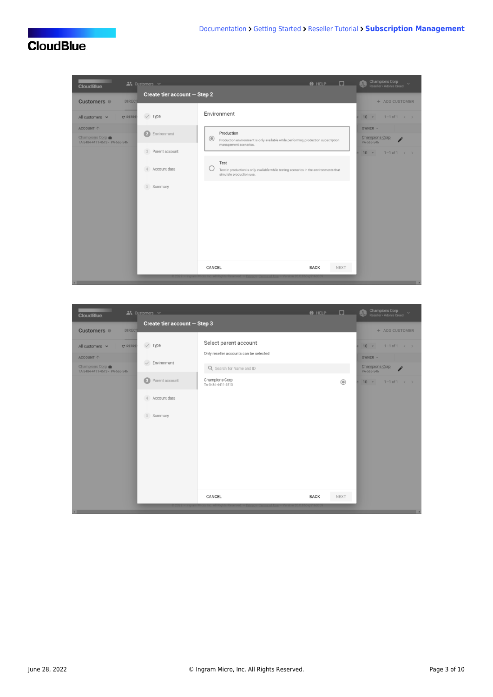

| Create tier account - Step 3<br><b>DIRECT</b><br>Customers <sup>@</sup><br>+ ADD CUSTOMER<br>Select parent account<br>$\vee$ Type<br>$1 - 1$ of $1 \leq$<br>All customers $\sim$<br>C REFRE<br>$10 -$<br>Only reseller accounts can be selected<br>ACCOUNT 个<br>OWNER -<br>Environment<br>Champions Corp <sup>1</sup><br><b>Champions Corp</b><br>Q Search for Name and ID<br>PA-565-546<br>TA-3484-4411-4513 · PA-565-546<br>$\mathbb{R}$<br>Champions Corp<br>Parent account<br>$\odot$<br>$1-1$ of $1 \leq$<br>$10 - $<br>TA-3484-4411-4513<br>4 Account data<br>5 Summary<br>CANCEL<br><b>BACK</b><br>NEXT | <b>CloudBlue</b> | $\sim$ Customers $\sim$ | $\bullet$ HELP $\Box$ | Champions Corp<br>Reseller · Adonis Creed<br>$\bullet$ |
|----------------------------------------------------------------------------------------------------------------------------------------------------------------------------------------------------------------------------------------------------------------------------------------------------------------------------------------------------------------------------------------------------------------------------------------------------------------------------------------------------------------------------------------------------------------------------------------------------------------|------------------|-------------------------|-----------------------|--------------------------------------------------------|
|                                                                                                                                                                                                                                                                                                                                                                                                                                                                                                                                                                                                                |                  |                         |                       |                                                        |
|                                                                                                                                                                                                                                                                                                                                                                                                                                                                                                                                                                                                                |                  |                         |                       |                                                        |
|                                                                                                                                                                                                                                                                                                                                                                                                                                                                                                                                                                                                                |                  |                         |                       |                                                        |
|                                                                                                                                                                                                                                                                                                                                                                                                                                                                                                                                                                                                                |                  |                         |                       |                                                        |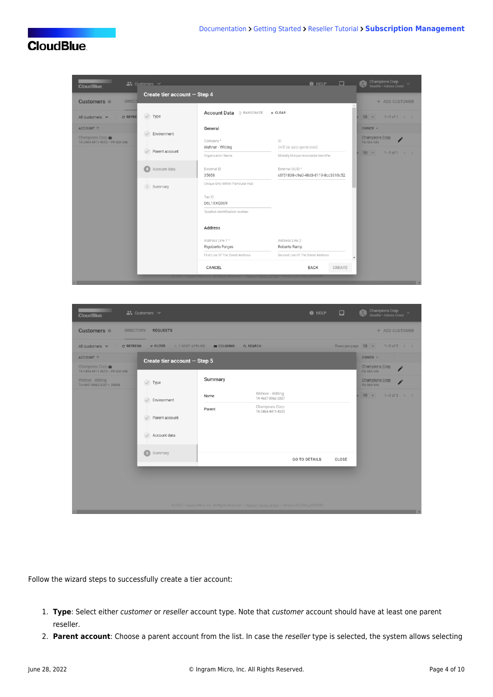

| <b>CloudBlue</b>                                                           | $\frac{11}{200}$ Customers $\vee$ |                                                                                                      |                                       | <b>O</b> HELP        | $\Box$ | <b>Champions Corp</b><br>Reseller · Adonis Creed<br>$\Lambda$ |
|----------------------------------------------------------------------------|-----------------------------------|------------------------------------------------------------------------------------------------------|---------------------------------------|----------------------|--------|---------------------------------------------------------------|
| Customers <sup>®</sup>                                                     | DIRECTORY REQUESTS                |                                                                                                      |                                       |                      |        | + ADD CUSTOMER                                                |
| All customers $\vee$<br><b>C REFRESH</b>                                   | $=$ FILTER<br>1 1 SORT APPLIED    | <b>III</b> COLUMNS                                                                                   | Q SEARCH                              |                      |        | Rows per page $10 \times 1-2$ of $2 \times 5$                 |
| ACCOUNT 个<br>Champions Corp <sup>1</sup><br>TA-3484-4411-4513 · PA-565-546 | Create tier account - Step 5      |                                                                                                      |                                       |                      |        | OWNER -<br><b>Champions Corp</b><br>PA-565-546                |
| Wehner - Witting<br>TA-4657-0962-3287 · 35658                              | Type                              | Summary                                                                                              |                                       |                      |        | <b>Champions Corp</b><br>í<br>PA-565-546                      |
|                                                                            | Environment                       | Name                                                                                                 | Wehner - Witting<br>TA-4657-0962-3287 |                      |        | $1-2$ of $2 \leq$<br>$10 -$                                   |
|                                                                            | Parent account                    | Parent                                                                                               | Champions Corp<br>TA-3484-4411-4513   |                      |        |                                                               |
|                                                                            | Account data                      |                                                                                                      |                                       |                      |        |                                                               |
|                                                                            | G<br>Summary                      |                                                                                                      |                                       | <b>GO TO DETAILS</b> | CLOSE  |                                                               |
|                                                                            |                                   | © 2022 - Ingram Micro Inc. All Rights Reserved. - Privacy   Terms of Use - Version 26.0.860-g5163059 |                                       |                      |        |                                                               |

Follow the wizard steps to successfully create a tier account:

- 1. **Type**: Select either customer or reseller account type. Note that customer account should have at least one parent reseller.
- 2. **Parent account**: Choose a parent account from the list. In case the reseller type is selected, the system allows selecting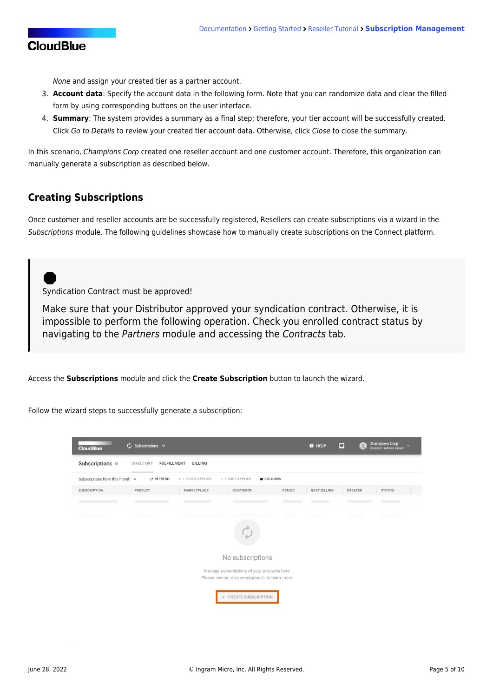None and assign your created tier as a partner account.

- 3. **Account data**: Specify the account data in the following form. Note that you can randomize data and clear the filled form by using corresponding buttons on the user interface.
- 4. **Summary**: The system provides a summary as a final step; therefore, your tier account will be successfully created. Click Go to Details to review your created tier account data. Otherwise, click Close to close the summary.

In this scenario, Champions Corp created one reseller account and one customer account. Therefore, this organization can manually generate a subscription as described below.

#### **Creating Subscriptions**

Once customer and reseller accounts are be successfully registered, Resellers can create subscriptions via a wizard in the Subscriptions module. The following guidelines showcase how to manually create subscriptions on the Connect platform.

Syndication Contract must be approved!

Make sure that your Distributor approved your syndication contract. Otherwise, it is impossible to perform the following operation. Check you enrolled contract status by navigating to the Partners module and accessing the Contracts tab.

Access the **Subscriptions** module and click the **Create Subscription** button to launch the wizard.

Follow the wizard steps to successfully generate a subscription:

| $\mathcal{L}$<br>Subscriptions $\vee$<br><b>CloudBlue</b>                                    |                      |                                         |        | <b>O</b> HELP       | $\Box$  | <b>Champions Corp</b><br>Reseller + Adonis Creed |  |
|----------------------------------------------------------------------------------------------|----------------------|-----------------------------------------|--------|---------------------|---------|--------------------------------------------------|--|
| Subscriptions @<br><b>FULFILLMENT</b><br><b>DIRECTORY</b>                                    | <b>BILLING</b>       |                                         |        |                     |         |                                                  |  |
| Subscriptions from this month v<br>C REFRESH                                                 | $= 1$ FILTER APPLIED | t1 1 SORT APPLIED<br><b>III</b> COLUMNS |        |                     |         |                                                  |  |
| PRODUCT<br>SUBSCRIPTION                                                                      | MARKETPLACE          | CUSTOMER                                | PERIOD | <b>NEXT BILLING</b> | CREATED | <b>STATUS</b>                                    |  |
|                                                                                              |                      |                                         |        |                     |         |                                                  |  |
|                                                                                              |                      |                                         |        |                     |         |                                                  |  |
|                                                                                              |                      | No subscriptions                        |        |                     |         |                                                  |  |
| Manage subscriptions of your products here.<br>Please see our documentation ⊠ to learn more. |                      |                                         |        |                     |         |                                                  |  |
|                                                                                              | ÷                    | CREATE SUBSCRIPTION                     |        |                     |         |                                                  |  |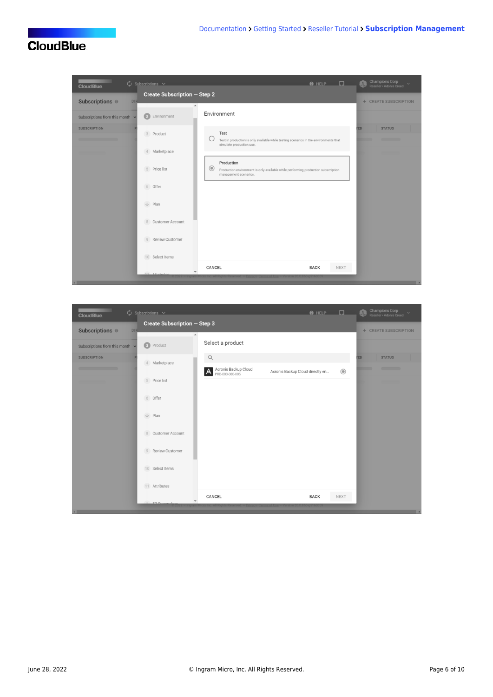

| <b>CloudBlue</b>                | $\circ$ Subscriptions $\vee$                     |                                                         | $\bullet$ HELP $\qquad \Box$     |             | Champions Corp<br>Reseller · Adonis Creed<br>€ |
|---------------------------------|--------------------------------------------------|---------------------------------------------------------|----------------------------------|-------------|------------------------------------------------|
| Subscriptions @<br><b>DIR</b>   | Create Subscription - Step 3<br>$\blacktriangle$ |                                                         |                                  |             | + CREATE SUBSCRIPTION                          |
| Subscriptions from this month v | <b>3</b> Product                                 | Select a product                                        |                                  |             |                                                |
| <b>SUBSCRIPTION</b>             | Marketplace<br>4                                 | $\mathsf Q$                                             |                                  |             | ED<br><b>STATUS</b>                            |
|                                 |                                                  | Acronis Backup Cloud<br>PRD-000-000-005<br>$\mathsf{A}$ | Acronis Backup Cloud directly en | $\odot$     | $\overline{\phantom{a}}$                       |
|                                 | 5 Price list                                     |                                                         |                                  |             |                                                |
|                                 | 6 Offer                                          |                                                         |                                  |             |                                                |
|                                 | Plan<br>$\downarrow$                             |                                                         |                                  |             |                                                |
|                                 | Customer Account<br>8                            |                                                         |                                  |             |                                                |
|                                 | Review Customer<br>Q                             |                                                         |                                  |             |                                                |
|                                 | 10 Select Items                                  |                                                         |                                  |             |                                                |
|                                 | 11 Attributes                                    |                                                         |                                  |             |                                                |
|                                 | ٠                                                | CANCEL                                                  | <b>BACK</b>                      | <b>NEXT</b> |                                                |
|                                 | TO Decemptar                                     |                                                         |                                  |             |                                                |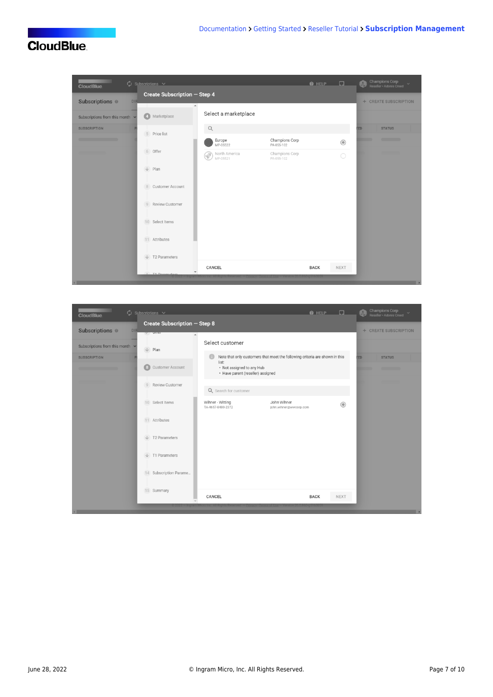| CloudBlue.                           | $\bigcirc$ Subscriptions $\vee$              |                                           |                              | $\bullet$ HELP $\Box$ |             | Champions Corp<br>Reseller - Adonis Creed<br>4 |
|--------------------------------------|----------------------------------------------|-------------------------------------------|------------------------------|-----------------------|-------------|------------------------------------------------|
| Subscriptions @<br><b>DIR</b>        | Create Subscription - Step 4                 |                                           |                              |                       |             | + CREATE SUBSCRIPTION                          |
| Subscriptions from this month $\sim$ | $\blacktriangle$<br>$\bullet$<br>Marketplace | Select a marketplace                      |                              |                       |             |                                                |
| <b>SUBSCRIPTION</b>                  | 5<br>Price list                              | $\mathbb{Q}$                              |                              |                       |             | <b>STATUS</b><br>ED                            |
|                                      |                                              | Europe<br>MP-05522                        | Champions Corp<br>PA-055-102 |                       | $\odot$     | $\overline{\phantom{a}}$<br><b>STEP 18</b>     |
|                                      | Offer<br>6                                   | North America<br>$\mathbb{C}$<br>MP-05521 | Champions Corp<br>PA-055-102 |                       | $\bigcirc$  |                                                |
|                                      | $\downarrow$<br>Plan                         |                                           |                              |                       |             |                                                |
|                                      | <b>Customer Account</b><br>8                 |                                           |                              |                       |             |                                                |
|                                      | Review Customer<br>Q                         |                                           |                              |                       |             |                                                |
|                                      | 10 Select Items                              |                                           |                              |                       |             |                                                |
|                                      | 11 Attributes                                |                                           |                              |                       |             |                                                |
|                                      | T2 Parameters<br>$\downarrow$                |                                           |                              |                       |             |                                                |
|                                      | T1 Desempto                                  | CANCEL                                    |                              | <b>BACK</b>           | <b>NEXT</b> |                                                |
| $\sqrt{2}$                           |                                              |                                           |                              |                       |             |                                                |

| Create Subscription - Step 8<br>Subscriptions @<br>DIR<br>vner<br>Select customer<br>Subscriptions from this month v<br>$\downarrow$<br>Plan<br>Note that only customers that meet the following criteria are shown in this<br><b>SUBSCRIPTION</b><br><b>STATUS</b><br><b>ED</b><br>list:<br>$\bigcirc$<br>Customer Account<br>· Not assigned to any Hub<br>· Have parent (reseller) assigned<br>Review Customer<br>Q<br>Q Search for customer<br>Wihner - Witting<br>10 Select Items<br>John Wihner<br>$\circledcirc$<br>TA-4657-8480-2372<br>john.wihner@wwcorp.com<br>11 Attributes<br>T2 Parameters<br>$\downarrow$<br>T1 Parameters<br>$\downarrow$<br>14 Subscription Parame | <b>CloudBlue</b> | $\bigcirc$ Subscriptions $\vee$ | $\bullet$ HELP $\Box$ | Champions Corp<br>Reseller - Adonis Creed<br>$\Lambda$ |
|------------------------------------------------------------------------------------------------------------------------------------------------------------------------------------------------------------------------------------------------------------------------------------------------------------------------------------------------------------------------------------------------------------------------------------------------------------------------------------------------------------------------------------------------------------------------------------------------------------------------------------------------------------------------------------|------------------|---------------------------------|-----------------------|--------------------------------------------------------|
|                                                                                                                                                                                                                                                                                                                                                                                                                                                                                                                                                                                                                                                                                    |                  |                                 |                       | + CREATE SUBSCRIPTION                                  |
|                                                                                                                                                                                                                                                                                                                                                                                                                                                                                                                                                                                                                                                                                    |                  |                                 |                       |                                                        |
|                                                                                                                                                                                                                                                                                                                                                                                                                                                                                                                                                                                                                                                                                    |                  |                                 |                       |                                                        |
|                                                                                                                                                                                                                                                                                                                                                                                                                                                                                                                                                                                                                                                                                    |                  |                                 |                       |                                                        |
|                                                                                                                                                                                                                                                                                                                                                                                                                                                                                                                                                                                                                                                                                    |                  |                                 |                       |                                                        |
|                                                                                                                                                                                                                                                                                                                                                                                                                                                                                                                                                                                                                                                                                    |                  |                                 |                       |                                                        |
|                                                                                                                                                                                                                                                                                                                                                                                                                                                                                                                                                                                                                                                                                    |                  |                                 |                       |                                                        |
|                                                                                                                                                                                                                                                                                                                                                                                                                                                                                                                                                                                                                                                                                    |                  |                                 |                       |                                                        |
|                                                                                                                                                                                                                                                                                                                                                                                                                                                                                                                                                                                                                                                                                    |                  |                                 |                       |                                                        |
| 15 Summary<br>NEXT<br>CANCEL<br><b>BACK</b>                                                                                                                                                                                                                                                                                                                                                                                                                                                                                                                                                                                                                                        |                  |                                 |                       |                                                        |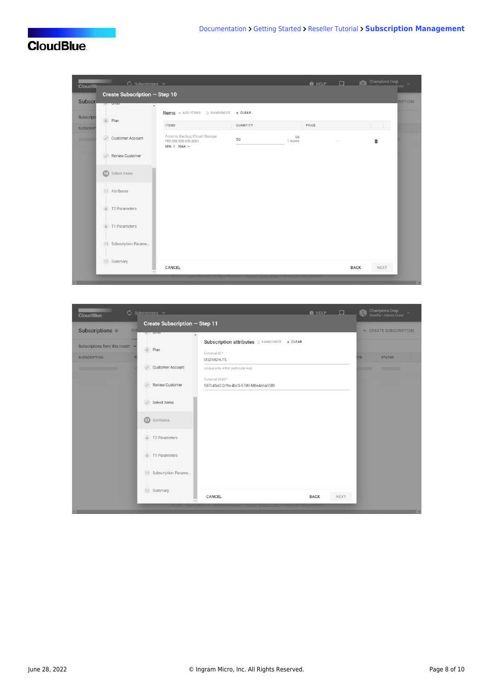| <b>CloudBly</b> | $\bigcirc$ Subscriptions $\vee$      |                                                                                |               | $\bullet$ HELP $\Box$ |             | <b>Champions Corp</b><br>$\blacksquare$ |
|-----------------|--------------------------------------|--------------------------------------------------------------------------------|---------------|-----------------------|-------------|-----------------------------------------|
| Subscr          | <b>Create Subscription - Step 10</b> |                                                                                |               |                       |             | <b>RIPTION</b>                          |
|                 | <b>UTTER</b><br>$\blacktriangle$     | <b>Items</b> + ADD ITEMS & RANDOMIZE X CLEAR                                   |               |                       |             |                                         |
| Subscripti      | $\downarrow$ Plan                    |                                                                                |               |                       |             |                                         |
| <b>SUBSCRIP</b> |                                      | <b>ITEMS</b>                                                                   | QUANTITY      | PRICE                 |             |                                         |
|                 | <b>Customer Account</b>              | Acronis Backup Cloud Storage<br>PRD-000-000-005-0001<br>MIN: $0$ MAX: $\infty$ | 50<br>1 month | Gb                    |             | 面                                       |
|                 | <b>Review Customer</b>               |                                                                                |               |                       |             |                                         |
|                 | 10 Select Items                      |                                                                                |               |                       |             |                                         |
|                 | 11 Attributes                        |                                                                                |               |                       |             |                                         |
|                 | $\downarrow$ T2 Parameters           |                                                                                |               |                       |             |                                         |
|                 | $\downarrow$ T1 Parameters           |                                                                                |               |                       |             |                                         |
|                 | 14 Subscription Parame               |                                                                                |               |                       |             |                                         |
|                 | 15 Summary                           | CANCEL                                                                         |               |                       | <b>BACK</b> | <b>NEXT</b>                             |

| <b>CloudBlue</b>                                       | $\bigcirc$ Subscriptions $\vee$                                                                                                                                                            | $\bullet$ HELP $\Box$ |      | <b>Champions Corp</b><br>Reseller - Adonis Creed<br>$\bullet$ |
|--------------------------------------------------------|--------------------------------------------------------------------------------------------------------------------------------------------------------------------------------------------|-----------------------|------|---------------------------------------------------------------|
| Subscriptions <sup>®</sup><br><b>DIR</b>               | <b>Create Subscription - Step 11</b><br>UITEI                                                                                                                                              |                       |      | + CREATE SUBSCRIPTION                                         |
| Subscriptions from this month v<br><b>SUBSCRIPTION</b> | Subscription attributes 5 RANDOMIZE X CLEAR<br>$\downarrow$ Plan<br>External ID*<br>UQZ682HJTL<br>Customer Account<br>$\checkmark$<br>Unique only within particular Hub<br>External UUID * |                       |      | <b>TED</b><br><b>STATUS</b><br>__                             |
|                                                        | <b>Review Customer</b><br>$\checkmark$<br>587c45a2-2c9a-4bc5-97d9-fd8e4a6a55f0<br>Select Items                                                                                             |                       |      |                                                               |
|                                                        | ൘<br>Attributes<br>$\downarrow$ T2 Parameters                                                                                                                                              |                       |      |                                                               |
|                                                        | T1 Parameters<br>$\downarrow$<br>14 Subscription Parame                                                                                                                                    |                       |      |                                                               |
| $\overline{a}$                                         | 15 Summary<br>CANCEL                                                                                                                                                                       | <b>BACK</b>           | NEXT |                                                               |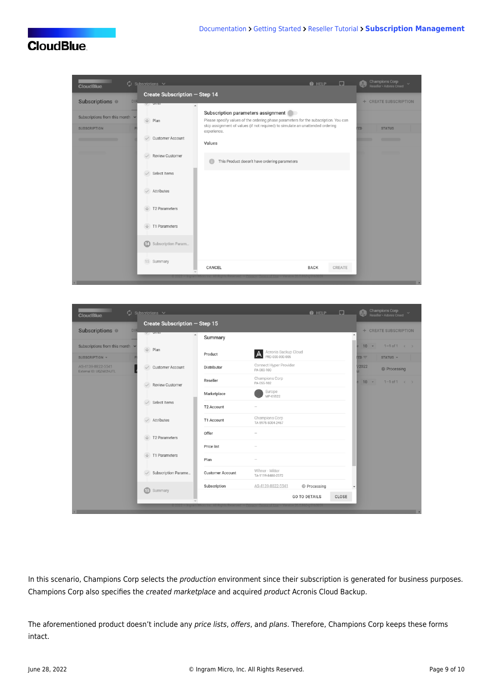| <b>CloudBlue</b>                                       | $\bigcirc$ Subscriptions $\vee$                         |                                                                                                                                                                                                                               | $\bullet$ HELP $\Box$ |        | <b>Champions Corp</b><br>Reseller · Adonis Creed<br>$\Lambda$ |
|--------------------------------------------------------|---------------------------------------------------------|-------------------------------------------------------------------------------------------------------------------------------------------------------------------------------------------------------------------------------|-----------------------|--------|---------------------------------------------------------------|
| Subscriptions <sup>®</sup><br>DIR                      | <b>Create Subscription - Step 14</b><br>$\sqrt{ }$ vire |                                                                                                                                                                                                                               |                       |        | + CREATE SUBSCRIPTION                                         |
| Subscriptions from this month v<br><b>SUBSCRIPTION</b> | $\downarrow$<br>Plan                                    | Subscription parameters assignment (<br>Please specify values of the ordering phase parameters for the subscription. You can<br>skip assignment of values (if not required) to simulate an unattended ordering<br>experience. |                       |        | <b>TED</b><br><b>STATUS</b>                                   |
|                                                        | <b>Customer Account</b>                                 | Values                                                                                                                                                                                                                        |                       |        | $\overline{\phantom{a}}$                                      |
|                                                        | <b>Review Customer</b>                                  | This Product doesn't have ordering parameters                                                                                                                                                                                 |                       |        |                                                               |
|                                                        | Select Items                                            |                                                                                                                                                                                                                               |                       |        |                                                               |
|                                                        | Attributes                                              |                                                                                                                                                                                                                               |                       |        |                                                               |
|                                                        | T2 Parameters                                           |                                                                                                                                                                                                                               |                       |        |                                                               |
|                                                        | T1 Parameters<br>$\cup$                                 |                                                                                                                                                                                                                               |                       |        |                                                               |
|                                                        | Œ<br>Subscription Param                                 |                                                                                                                                                                                                                               |                       |        |                                                               |
|                                                        | 15 Summary                                              | CANCEL                                                                                                                                                                                                                        | <b>BACK</b>           | CREATE |                                                               |
|                                                        |                                                         |                                                                                                                                                                                                                               |                       |        |                                                               |

| <b>CloudBlue</b>                     | $\bigcirc$ Subscriptions $\vee$                  |                         |                                                         | $\bullet$ HELP $\Box$                              | Champions Corp<br>Reseller - Adonis Creed<br>$\Lambda$ |
|--------------------------------------|--------------------------------------------------|-------------------------|---------------------------------------------------------|----------------------------------------------------|--------------------------------------------------------|
| Subscriptions ©<br><b>DIR</b>        | Create Subscription - Step 15<br>$\sqrt{ }$ vner |                         |                                                         |                                                    | + CREATE SUBSCRIPTION                                  |
| Subscriptions from this month $\vee$ | $\downarrow$<br>Plan                             | Summary                 | Acronis Backup Cloud                                    |                                                    | $1 - 1$ of $1 \leq$<br>$10 -$                          |
| SUBSCRIPTION -<br>AS-4139-8822-5541  | <b>Customer Account</b>                          | Product<br>Distributor  | PRD-000-000-005<br>Connect Hyper Provider<br>PA-000-100 |                                                    | STATUS -<br>$FED =$<br>7/2022<br><b>Processing</b>     |
| External ID: UQZ682HJTL              | <b>Review Customer</b>                           | Reseller                | Champions Corp<br>PA-055-102                            |                                                    | $10 -$<br>$1 - 1$ of $1 \leq$                          |
|                                      | Select Items                                     | Marketplace             | Europe<br>MP-05522                                      |                                                    |                                                        |
|                                      |                                                  | <b>T2 Account</b>       | Champions Corp                                          |                                                    |                                                        |
|                                      | Attributes                                       | T1 Account<br>Offer     | TA-5975-5004-2467                                       |                                                    |                                                        |
|                                      | T2 Parameters                                    | Price list              |                                                         |                                                    |                                                        |
|                                      | T1 Parameters                                    | Plan                    | $\overline{\phantom{a}}$                                |                                                    |                                                        |
|                                      | Subscription Parame                              | <b>Customer Account</b> | Wihner - Witter<br>TA-1119-8480-2372                    |                                                    |                                                        |
|                                      | 65<br>Summary                                    | Subscription            | AS-4139-8822-5541                                       | <b>Processing</b><br><b>GO TO DETAILS</b><br>CLOSE |                                                        |
| $\sqrt{2}$                           |                                                  |                         |                                                         |                                                    |                                                        |

In this scenario, Champions Corp selects the *production* environment since their subscription is generated for business purposes. Champions Corp also specifies the created marketplace and acquired product Acronis Cloud Backup.

The aforementioned product doesn't include any price lists, offers, and plans. Therefore, Champions Corp keeps these forms intact.